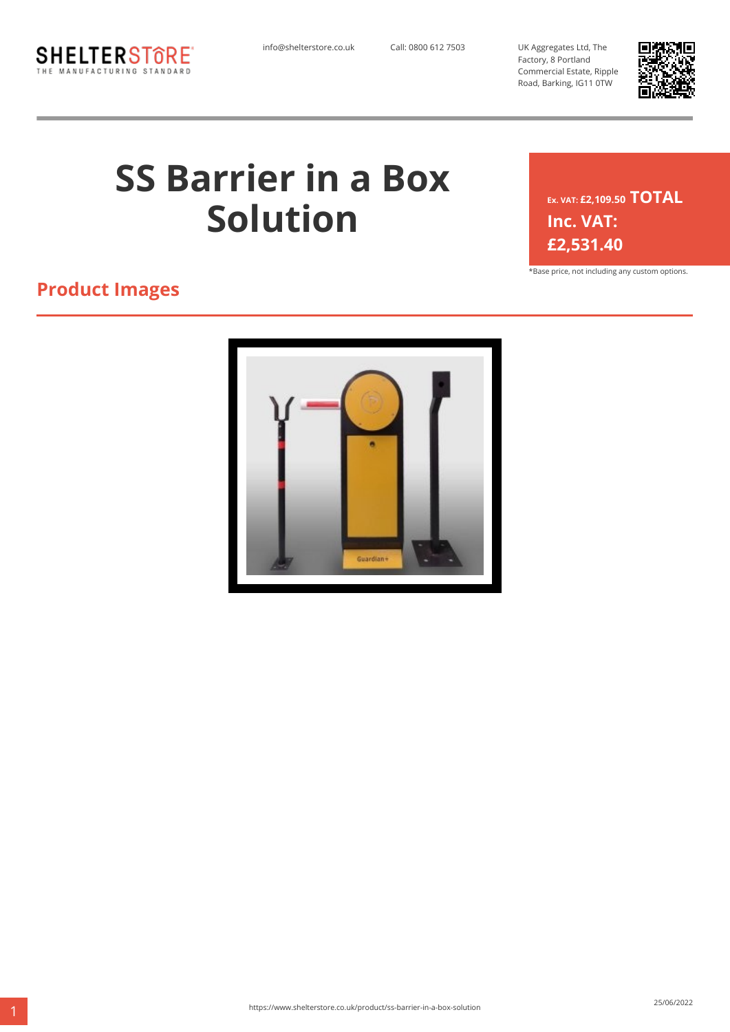

info@shelterstore.co.uk Call: 0800 612 7503 UK Aggregates Ltd, The Factory, 8 Portland Commercial Estate, Ripple Road, Barking, IG11 0TW



# **SS Barrier in a Box Solution**

**Ex. VAT: £2,109.50 TOTAL Inc. VAT: £2,531.40**

\*Base price, not including any custom options.

### **Product Images**

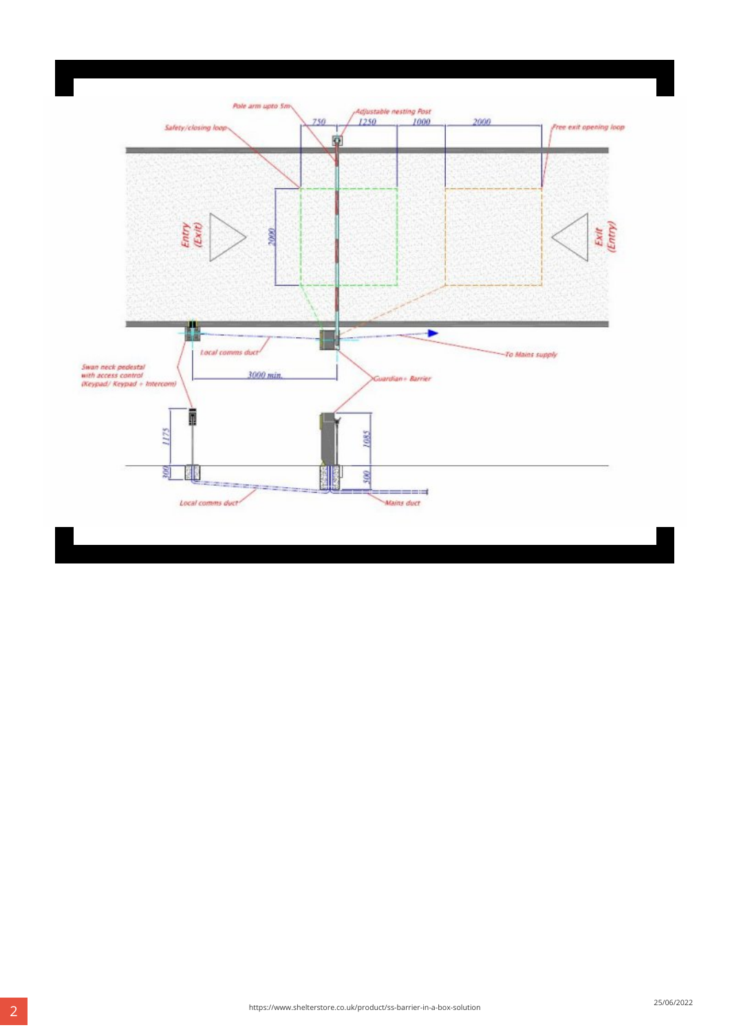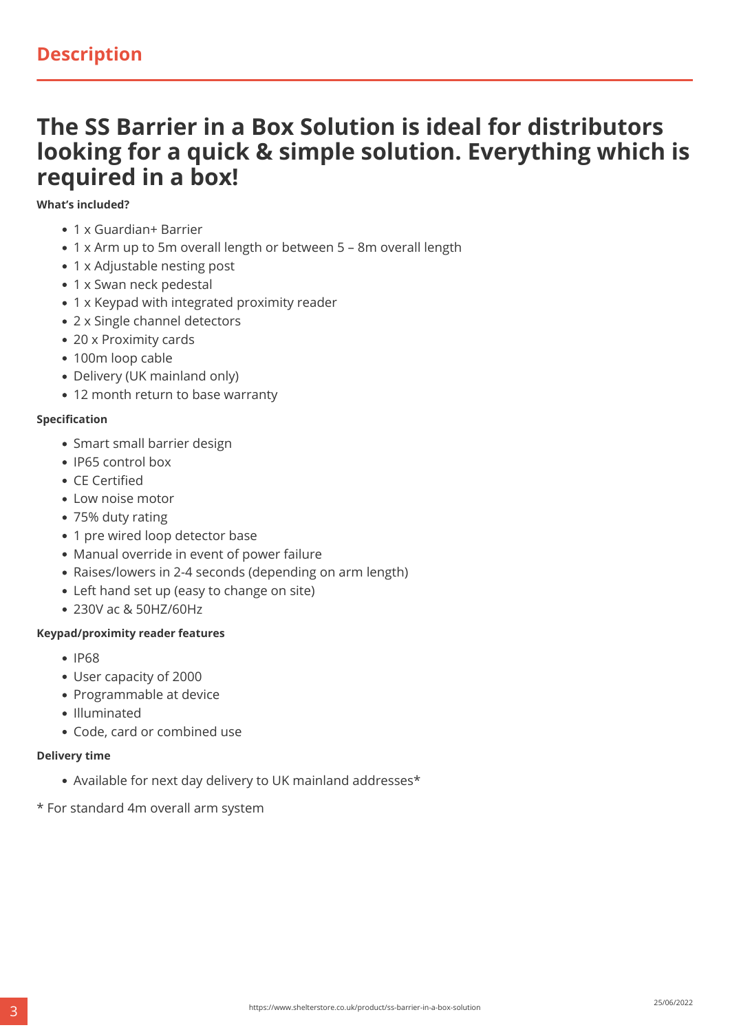## **The SS Barrier in a Box Solution is ideal for distributors looking for a quick & simple solution. Everything which is required in a box!**

#### **What's included?**

- 1 x Guardian+ Barrier
- 1 x Arm up to 5m overall length or between 5 8m overall length
- 1 x Adjustable nesting post
- 1 x Swan neck pedestal
- 1 x Keypad with integrated proximity reader
- 2 x Single channel detectors
- 20 x Proximity cards
- 100m loop cable
- Delivery (UK mainland only)
- 12 month return to base warranty

#### **Specification**

- Smart small barrier design
- IP65 control box
- CE Certified
- Low noise motor
- 75% duty rating
- 1 pre wired loop detector base
- Manual override in event of power failure
- Raises/lowers in 2-4 seconds (depending on arm length)
- Left hand set up (easy to change on site)
- 230V ac & 50HZ/60Hz

#### **Keypad/proximity reader features**

- $\cdot$  IP68
- User capacity of 2000
- Programmable at device
- Illuminated
- Code, card or combined use

#### **Delivery time**

- Available for next day delivery to UK mainland addresses\*
- \* For standard 4m overall arm system